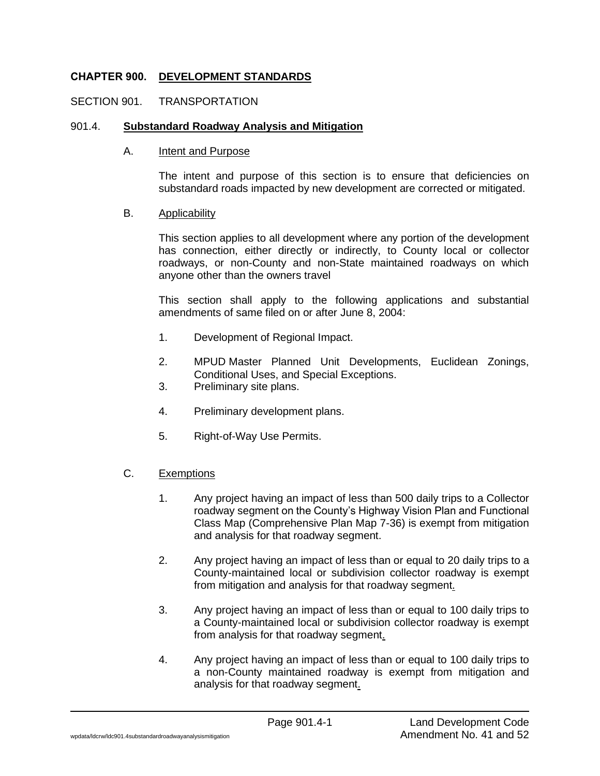### **CHAPTER 900. DEVELOPMENT STANDARDS**

### SECTION 901. TRANSPORTATION

### 901.4. **Substandard Roadway Analysis and Mitigation**

#### A. Intent and Purpose

The intent and purpose of this section is to ensure that deficiencies on substandard roads impacted by new development are corrected or mitigated.

### B. Applicability

This section applies to all development where any portion of the development has connection, either directly or indirectly, to County local or collector roadways, or non-County and non-State maintained roadways on which anyone other than the owners travel

This section shall apply to the following applications and substantial amendments of same filed on or after June 8, 2004:

- 1. Development of Regional Impact.
- 2. MPUD Master Planned Unit Developments, Euclidean Zonings, Conditional Uses, and Special Exceptions.
- 3. Preliminary site plans.
- 4. Preliminary development plans.
- 5. Right-of-Way Use Permits.
- C. Exemptions
	- 1. Any project having an impact of less than 500 daily trips to a Collector roadway segment on the County's Highway Vision Plan and Functional Class Map (Comprehensive Plan Map 7-36) is exempt from mitigation and analysis for that roadway segment.
	- 2. Any project having an impact of less than or equal to 20 daily trips to a County-maintained local or subdivision collector roadway is exempt from mitigation and analysis for that roadway segment.
	- 3. Any project having an impact of less than or equal to 100 daily trips to a County-maintained local or subdivision collector roadway is exempt from analysis for that roadway segment.
	- 4. Any project having an impact of less than or equal to 100 daily trips to a non-County maintained roadway is exempt from mitigation and analysis for that roadway segment.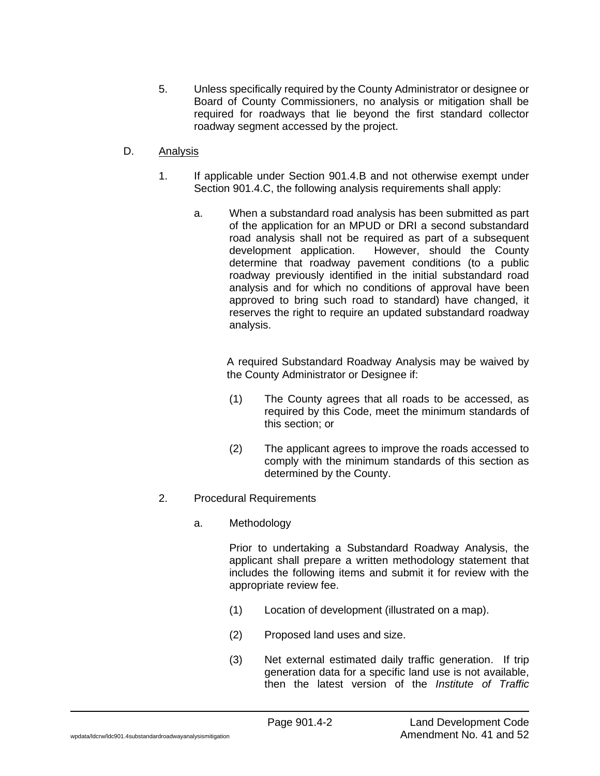- 5. Unless specifically required by the County Administrator or designee or Board of County Commissioners, no analysis or mitigation shall be required for roadways that lie beyond the first standard collector roadway segment accessed by the project.
- D. Analysis
	- 1. If applicable under Section 901.4.B and not otherwise exempt under Section 901.4.C, the following analysis requirements shall apply:
		- a. When a substandard road analysis has been submitted as part of the application for an MPUD or DRI a second substandard road analysis shall not be required as part of a subsequent development application. However, should the County determine that roadway pavement conditions (to a public roadway previously identified in the initial substandard road analysis and for which no conditions of approval have been approved to bring such road to standard) have changed, it reserves the right to require an updated substandard roadway analysis.

A required Substandard Roadway Analysis may be waived by the County Administrator or Designee if:

- (1) The County agrees that all roads to be accessed, as required by this Code, meet the minimum standards of this section; or
- (2) The applicant agrees to improve the roads accessed to comply with the minimum standards of this section as determined by the County.
- 2. Procedural Requirements
	- a. Methodology

Prior to undertaking a Substandard Roadway Analysis, the applicant shall prepare a written methodology statement that includes the following items and submit it for review with the appropriate review fee.

- (1) Location of development (illustrated on a map).
- (2) Proposed land uses and size.
- (3) Net external estimated daily traffic generation. If trip generation data for a specific land use is not available, then the latest version of the *Institute of Traffic*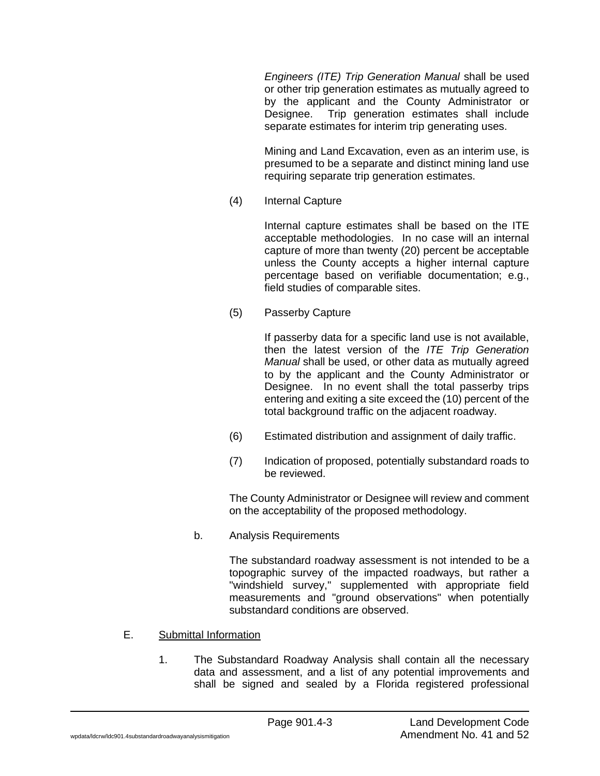*Engineers (ITE) Trip Generation Manual* shall be used or other trip generation estimates as mutually agreed to by the applicant and the County Administrator or Designee. Trip generation estimates shall include separate estimates for interim trip generating uses.

Mining and Land Excavation, even as an interim use, is presumed to be a separate and distinct mining land use requiring separate trip generation estimates.

(4) Internal Capture

Internal capture estimates shall be based on the ITE acceptable methodologies. In no case will an internal capture of more than twenty (20) percent be acceptable unless the County accepts a higher internal capture percentage based on verifiable documentation; e.g., field studies of comparable sites.

(5) Passerby Capture

If passerby data for a specific land use is not available, then the latest version of the *ITE Trip Generation Manual* shall be used, or other data as mutually agreed to by the applicant and the County Administrator or Designee. In no event shall the total passerby trips entering and exiting a site exceed the (10) percent of the total background traffic on the adjacent roadway.

- (6) Estimated distribution and assignment of daily traffic.
- (7) Indication of proposed, potentially substandard roads to be reviewed.

The County Administrator or Designee will review and comment on the acceptability of the proposed methodology.

b. Analysis Requirements

The substandard roadway assessment is not intended to be a topographic survey of the impacted roadways, but rather a "windshield survey," supplemented with appropriate field measurements and "ground observations" when potentially substandard conditions are observed.

### E. Submittal Information

1. The Substandard Roadway Analysis shall contain all the necessary data and assessment, and a list of any potential improvements and shall be signed and sealed by a Florida registered professional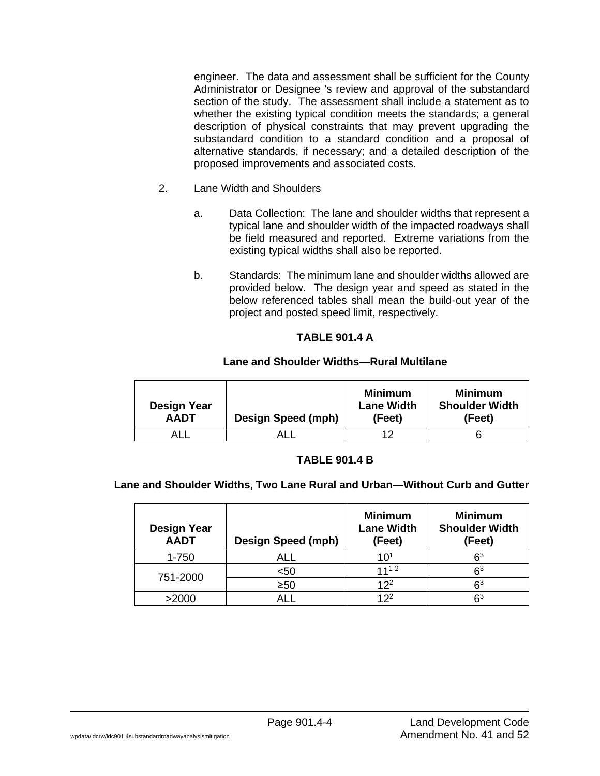engineer. The data and assessment shall be sufficient for the County Administrator or Designee 's review and approval of the substandard section of the study. The assessment shall include a statement as to whether the existing typical condition meets the standards; a general description of physical constraints that may prevent upgrading the substandard condition to a standard condition and a proposal of alternative standards, if necessary; and a detailed description of the proposed improvements and associated costs.

- 2. Lane Width and Shoulders
	- a. Data Collection: The lane and shoulder widths that represent a typical lane and shoulder width of the impacted roadways shall be field measured and reported. Extreme variations from the existing typical widths shall also be reported.
	- b. Standards: The minimum lane and shoulder widths allowed are provided below. The design year and speed as stated in the below referenced tables shall mean the build-out year of the project and posted speed limit, respectively.

### **TABLE 901.4 A**

### **Lane and Shoulder Widths—Rural Multilane**

| <b>Design Year</b><br><b>AADT</b> | Design Speed (mph) | <b>Minimum</b><br><b>Lane Width</b><br>(Feet) | Minimum<br><b>Shoulder Width</b><br>(Feet) |
|-----------------------------------|--------------------|-----------------------------------------------|--------------------------------------------|
| ALI                               |                    | 1つ                                            |                                            |

#### **TABLE 901.4 B**

### **Lane and Shoulder Widths, Two Lane Rural and Urban—Without Curb and Gutter**

| <b>Design Year</b><br><b>AADT</b> | Design Speed (mph) | <b>Minimum</b><br><b>Lane Width</b><br>(Feet) | <b>Minimum</b><br><b>Shoulder Width</b><br>(Feet) |
|-----------------------------------|--------------------|-----------------------------------------------|---------------------------------------------------|
| 1-750                             | <b>ALL</b>         | $10^{1}$                                      | $\mathsf{S}^3$                                    |
|                                   | $50$               | $111-2$                                       | $\mathsf{S}^3$                                    |
| 751-2000                          | $\geq 50$          | $12^{2}$                                      | $\mathsf{S}^3$                                    |
| >2000                             |                    | 12 <sup>2</sup>                               | Բ3                                                |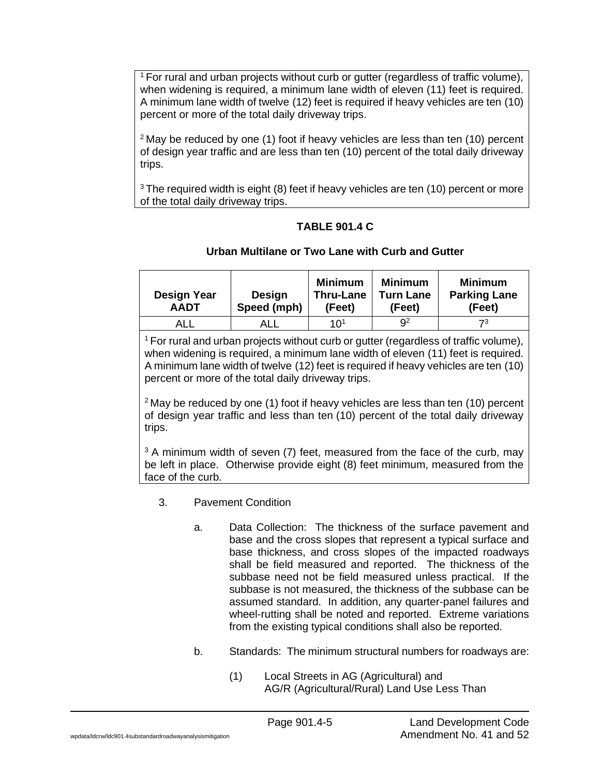$1$  For rural and urban projects without curb or gutter (regardless of traffic volume), when widening is required, a minimum lane width of eleven (11) feet is required. A minimum lane width of twelve (12) feet is required if heavy vehicles are ten (10) percent or more of the total daily driveway trips.

 $2$  May be reduced by one (1) foot if heavy vehicles are less than ten (10) percent of design year traffic and are less than ten (10) percent of the total daily driveway trips.

 $3$  The required width is eight (8) feet if heavy vehicles are ten (10) percent or more of the total daily driveway trips.

# **TABLE 901.4 C**

# **Urban Multilane or Two Lane with Curb and Gutter**

| <b>Design Year</b><br><b>AADT</b> | Design<br>Speed (mph) | <b>Minimum</b><br><b>Thru-Lane</b><br>(Feet) | <b>Minimum</b><br><b>Turn Lane</b><br>(Feet) | <b>Minimum</b><br><b>Parking Lane</b><br>(Feet) |
|-----------------------------------|-----------------------|----------------------------------------------|----------------------------------------------|-------------------------------------------------|
| ALL                               |                       | 10 <sup>1</sup>                              | Q <sup>2</sup>                               | 73                                              |
|                                   |                       |                                              |                                              |                                                 |

<sup>1</sup> For rural and urban projects without curb or gutter (regardless of traffic volume), when widening is required, a minimum lane width of eleven (11) feet is required. A minimum lane width of twelve (12) feet is required if heavy vehicles are ten (10) percent or more of the total daily driveway trips.

 $2$  May be reduced by one (1) foot if heavy vehicles are less than ten (10) percent of design year traffic and less than ten (10) percent of the total daily driveway trips.

 $3$  A minimum width of seven (7) feet, measured from the face of the curb, may be left in place. Otherwise provide eight (8) feet minimum, measured from the face of the curb.

# 3. Pavement Condition

- a. Data Collection: The thickness of the surface pavement and base and the cross slopes that represent a typical surface and base thickness, and cross slopes of the impacted roadways shall be field measured and reported. The thickness of the subbase need not be field measured unless practical. If the subbase is not measured, the thickness of the subbase can be assumed standard. In addition, any quarter-panel failures and wheel-rutting shall be noted and reported. Extreme variations from the existing typical conditions shall also be reported.
- b. Standards: The minimum structural numbers for roadways are:
	- (1) Local Streets in AG (Agricultural) and AG/R (Agricultural/Rural) Land Use Less Than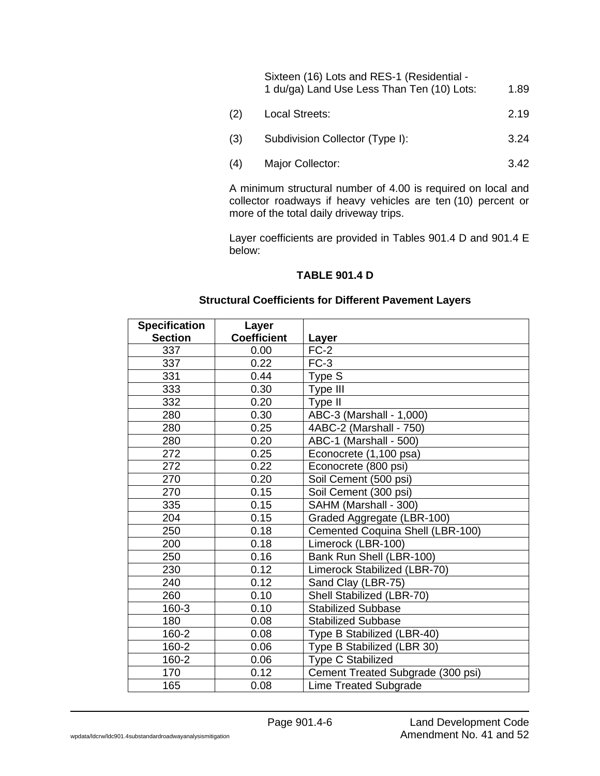| Sixteen (16) Lots and RES-1 (Residential - |      |
|--------------------------------------------|------|
| 1 du/ga) Land Use Less Than Ten (10) Lots: | 1.89 |

- (2) Local Streets: 2.19
- (3) Subdivision Collector (Type I): 3.24
- (4) Major Collector: 3.42

A minimum structural number of 4.00 is required on local and collector roadways if heavy vehicles are ten (10) percent or more of the total daily driveway trips.

Layer coefficients are provided in Tables 901.4 D and 901.4 E below:

## **TABLE 901.4 D**

### **Structural Coefficients for Different Pavement Layers**

| <b>Specification</b> | Layer              |                                   |
|----------------------|--------------------|-----------------------------------|
| <b>Section</b>       | <b>Coefficient</b> | Layer                             |
| 337                  | 0.00               | $FC-2$                            |
| 337                  | 0.22               | $FC-3$                            |
| 331                  | 0.44               | Type S                            |
| 333                  | 0.30               | Type III                          |
| 332                  | 0.20               | Type II                           |
| 280                  | 0.30               | ABC-3 (Marshall - 1,000)          |
| 280                  | 0.25               | 4ABC-2 (Marshall - 750)           |
| 280                  | 0.20               | ABC-1 (Marshall - 500)            |
| 272                  | 0.25               | Econocrete (1,100 psa)            |
| 272                  | 0.22               | Econocrete (800 psi)              |
| 270                  | 0.20               | Soil Cement (500 psi)             |
| 270                  | 0.15               | Soil Cement (300 psi)             |
| 335                  | 0.15               | SAHM (Marshall - 300)             |
| 204                  | 0.15               | Graded Aggregate (LBR-100)        |
| 250                  | 0.18               | Cemented Coquina Shell (LBR-100)  |
| 200                  | 0.18               | Limerock (LBR-100)                |
| 250                  | 0.16               | Bank Run Shell (LBR-100)          |
| 230                  | 0.12               | Limerock Stabilized (LBR-70)      |
| 240                  | 0.12               | Sand Clay (LBR-75)                |
| 260                  | 0.10               | Shell Stabilized (LBR-70)         |
| 160-3                | 0.10               | <b>Stabilized Subbase</b>         |
| 180                  | 0.08               | <b>Stabilized Subbase</b>         |
| 160-2                | 0.08               | Type B Stabilized (LBR-40)        |
| 160-2                | 0.06               | Type B Stabilized (LBR 30)        |
| 160-2                | 0.06               | <b>Type C Stabilized</b>          |
| 170                  | 0.12               | Cement Treated Subgrade (300 psi) |
| 165                  | 0.08               | <b>Lime Treated Subgrade</b>      |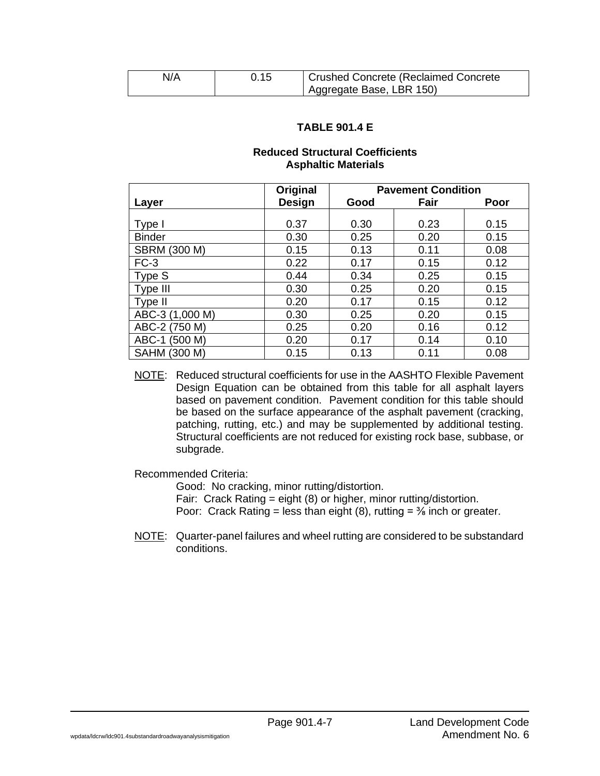| N/A | 0.15 | Crushed Concrete (Reclaimed Concrete |
|-----|------|--------------------------------------|
|     |      | Aggregate Base, LBR 150)             |

### **TABLE 901.4 E**

### **Reduced Structural Coefficients Asphaltic Materials**

|                     | Original      | <b>Pavement Condition</b> |      |      |
|---------------------|---------------|---------------------------|------|------|
| Layer               | <b>Design</b> | Good                      | Fair | Poor |
|                     |               |                           |      |      |
| Type I              | 0.37          | 0.30                      | 0.23 | 0.15 |
| <b>Binder</b>       | 0.30          | 0.25                      | 0.20 | 0.15 |
| <b>SBRM (300 M)</b> | 0.15          | 0.13                      | 0.11 | 0.08 |
| $FC-3$              | 0.22          | 0.17                      | 0.15 | 0.12 |
| Type S              | 0.44          | 0.34                      | 0.25 | 0.15 |
| Type III            | 0.30          | 0.25                      | 0.20 | 0.15 |
| Type II             | 0.20          | 0.17                      | 0.15 | 0.12 |
| ABC-3 (1,000 M)     | 0.30          | 0.25                      | 0.20 | 0.15 |
| ABC-2 (750 M)       | 0.25          | 0.20                      | 0.16 | 0.12 |
| ABC-1 (500 M)       | 0.20          | 0.17                      | 0.14 | 0.10 |
| SAHM (300 M)        | 0.15          | 0.13                      | 0.11 | 0.08 |

NOTE: Reduced structural coefficients for use in the AASHTO Flexible Pavement Design Equation can be obtained from this table for all asphalt layers based on pavement condition. Pavement condition for this table should be based on the surface appearance of the asphalt pavement (cracking, patching, rutting, etc.) and may be supplemented by additional testing. Structural coefficients are not reduced for existing rock base, subbase, or subgrade.

Recommended Criteria:

Good: No cracking, minor rutting/distortion. Fair: Crack Rating = eight (8) or higher, minor rutting/distortion. Poor: Crack Rating = less than eight (8), rutting =  $\frac{3}{6}$  inch or greater.

NOTE: Quarter-panel failures and wheel rutting are considered to be substandard conditions.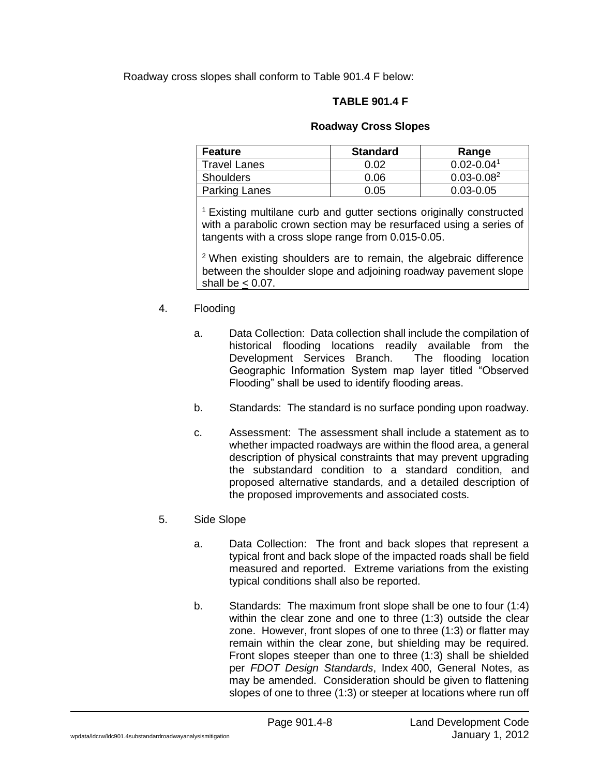Roadway cross slopes shall conform to Table 901.4 F below:

# **TABLE 901.4 F**

### **Roadway Cross Slopes**

| <b>Feature</b>       | <b>Standard</b> | Range           |
|----------------------|-----------------|-----------------|
| <b>Travel Lanes</b>  | 0.02            | $0.02 - 0.041$  |
| <b>Shoulders</b>     | 0.06            | $0.03 - 0.08^2$ |
| <b>Parking Lanes</b> | 0.05            | $0.03 - 0.05$   |

<sup>1</sup> Existing multilane curb and gutter sections originally constructed with a parabolic crown section may be resurfaced using a series of tangents with a cross slope range from 0.015-0.05.

<sup>2</sup> When existing shoulders are to remain, the algebraic difference between the shoulder slope and adjoining roadway pavement slope shall be  $< 0.07$ .

### 4. Flooding

- a. Data Collection: Data collection shall include the compilation of historical flooding locations readily available from the Development Services Branch. The flooding location Geographic Information System map layer titled "Observed Flooding" shall be used to identify flooding areas.
- b. Standards: The standard is no surface ponding upon roadway.
- c. Assessment: The assessment shall include a statement as to whether impacted roadways are within the flood area, a general description of physical constraints that may prevent upgrading the substandard condition to a standard condition, and proposed alternative standards, and a detailed description of the proposed improvements and associated costs.

### 5. Side Slope

- a. Data Collection: The front and back slopes that represent a typical front and back slope of the impacted roads shall be field measured and reported. Extreme variations from the existing typical conditions shall also be reported.
- b. Standards: The maximum front slope shall be one to four (1:4) within the clear zone and one to three (1:3) outside the clear zone. However, front slopes of one to three (1:3) or flatter may remain within the clear zone, but shielding may be required. Front slopes steeper than one to three (1:3) shall be shielded per *FDOT Design Standards*, Index 400, General Notes, as may be amended. Consideration should be given to flattening slopes of one to three (1:3) or steeper at locations where run off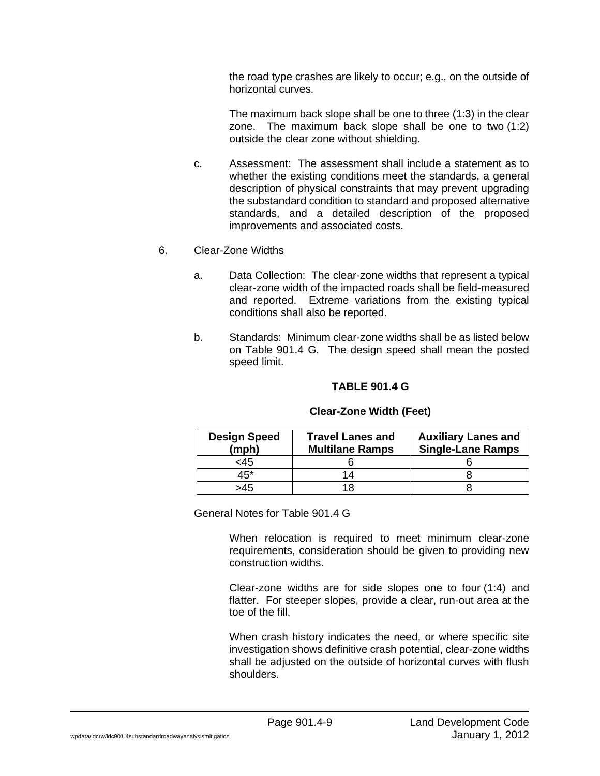the road type crashes are likely to occur; e.g., on the outside of horizontal curves.

The maximum back slope shall be one to three (1:3) in the clear zone. The maximum back slope shall be one to two (1:2) outside the clear zone without shielding.

- c. Assessment: The assessment shall include a statement as to whether the existing conditions meet the standards, a general description of physical constraints that may prevent upgrading the substandard condition to standard and proposed alternative standards, and a detailed description of the proposed improvements and associated costs.
- 6. Clear-Zone Widths
	- a. Data Collection: The clear-zone widths that represent a typical clear-zone width of the impacted roads shall be field-measured and reported. Extreme variations from the existing typical conditions shall also be reported.
	- b. Standards: Minimum clear-zone widths shall be as listed below on Table 901.4 G. The design speed shall mean the posted speed limit.

### **TABLE 901.4 G**

| <b>Design Speed</b><br>(mph) | <b>Travel Lanes and</b><br><b>Multilane Ramps</b> | <b>Auxiliary Lanes and</b><br><b>Single-Lane Ramps</b> |
|------------------------------|---------------------------------------------------|--------------------------------------------------------|
| <45                          |                                                   |                                                        |
| 45*                          | 14                                                |                                                        |
| >45                          |                                                   |                                                        |

### **Clear-Zone Width (Feet)**

General Notes for Table 901.4 G

When relocation is required to meet minimum clear-zone requirements, consideration should be given to providing new construction widths.

Clear-zone widths are for side slopes one to four (1:4) and flatter. For steeper slopes, provide a clear, run-out area at the toe of the fill.

When crash history indicates the need, or where specific site investigation shows definitive crash potential, clear-zone widths shall be adjusted on the outside of horizontal curves with flush shoulders.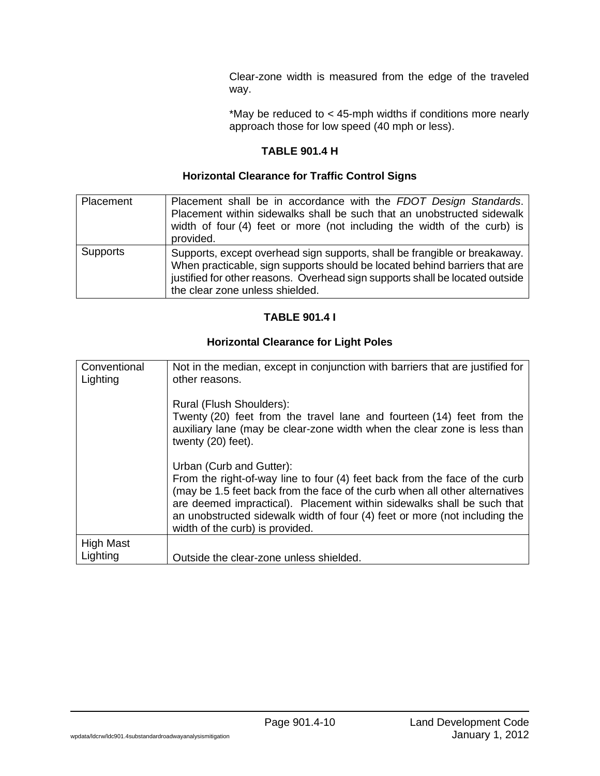Clear-zone width is measured from the edge of the traveled way.

\*May be reduced to < 45-mph widths if conditions more nearly approach those for low speed (40 mph or less).

# **TABLE 901.4 H**

### **Horizontal Clearance for Traffic Control Signs**

| Placement       | Placement shall be in accordance with the FDOT Design Standards.<br>Placement within sidewalks shall be such that an unobstructed sidewalk<br>width of four (4) feet or more (not including the width of the curb) is<br>provided.                                         |
|-----------------|----------------------------------------------------------------------------------------------------------------------------------------------------------------------------------------------------------------------------------------------------------------------------|
| <b>Supports</b> | Supports, except overhead sign supports, shall be frangible or breakaway.<br>When practicable, sign supports should be located behind barriers that are<br>justified for other reasons. Overhead sign supports shall be located outside<br>the clear zone unless shielded. |

# **TABLE 901.4 I**

# **Horizontal Clearance for Light Poles**

| Conventional<br>Lighting | Not in the median, except in conjunction with barriers that are justified for<br>other reasons.                                                                                                                                                                                                                                                                                  |
|--------------------------|----------------------------------------------------------------------------------------------------------------------------------------------------------------------------------------------------------------------------------------------------------------------------------------------------------------------------------------------------------------------------------|
|                          | Rural (Flush Shoulders):<br>Twenty (20) feet from the travel lane and fourteen (14) feet from the<br>auxiliary lane (may be clear-zone width when the clear zone is less than<br>twenty (20) feet).                                                                                                                                                                              |
|                          | Urban (Curb and Gutter):<br>From the right-of-way line to four (4) feet back from the face of the curb<br>(may be 1.5 feet back from the face of the curb when all other alternatives<br>are deemed impractical). Placement within sidewalks shall be such that<br>an unobstructed sidewalk width of four (4) feet or more (not including the<br>width of the curb) is provided. |
| <b>High Mast</b>         |                                                                                                                                                                                                                                                                                                                                                                                  |
| Lighting                 | Outside the clear-zone unless shielded.                                                                                                                                                                                                                                                                                                                                          |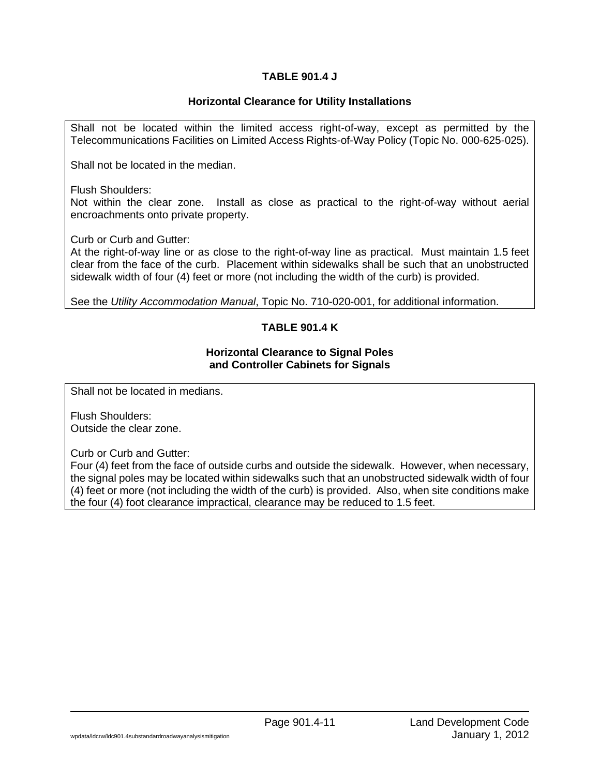## **TABLE 901.4 J**

### **Horizontal Clearance for Utility Installations**

Shall not be located within the limited access right-of-way, except as permitted by the Telecommunications Facilities on Limited Access Rights-of-Way Policy (Topic No. 000-625-025).

Shall not be located in the median.

Flush Shoulders:

Not within the clear zone. Install as close as practical to the right-of-way without aerial encroachments onto private property.

Curb or Curb and Gutter:

At the right-of-way line or as close to the right-of-way line as practical. Must maintain 1.5 feet clear from the face of the curb. Placement within sidewalks shall be such that an unobstructed sidewalk width of four (4) feet or more (not including the width of the curb) is provided.

See the *Utility Accommodation Manual*, Topic No. 710-020-001, for additional information.

# **TABLE 901.4 K**

#### **Horizontal Clearance to Signal Poles and Controller Cabinets for Signals**

Shall not be located in medians.

Flush Shoulders: Outside the clear zone.

Curb or Curb and Gutter:

Four (4) feet from the face of outside curbs and outside the sidewalk. However, when necessary, the signal poles may be located within sidewalks such that an unobstructed sidewalk width of four (4) feet or more (not including the width of the curb) is provided. Also, when site conditions make the four (4) foot clearance impractical, clearance may be reduced to 1.5 feet.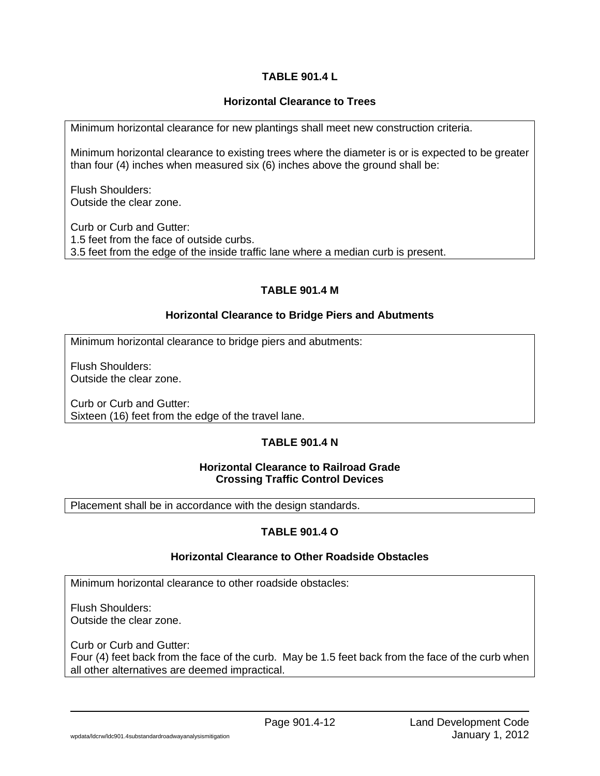# **TABLE 901.4 L**

# **Horizontal Clearance to Trees**

Minimum horizontal clearance for new plantings shall meet new construction criteria.

Minimum horizontal clearance to existing trees where the diameter is or is expected to be greater than four (4) inches when measured six (6) inches above the ground shall be:

Flush Shoulders: Outside the clear zone.

Curb or Curb and Gutter: 1.5 feet from the face of outside curbs. 3.5 feet from the edge of the inside traffic lane where a median curb is present.

# **TABLE 901.4 M**

# **Horizontal Clearance to Bridge Piers and Abutments**

Minimum horizontal clearance to bridge piers and abutments:

Flush Shoulders: Outside the clear zone.

Curb or Curb and Gutter: Sixteen (16) feet from the edge of the travel lane.

# **TABLE 901.4 N**

### **Horizontal Clearance to Railroad Grade Crossing Traffic Control Devices**

Placement shall be in accordance with the design standards.

# **TABLE 901.4 O**

# **Horizontal Clearance to Other Roadside Obstacles**

Minimum horizontal clearance to other roadside obstacles:

Flush Shoulders: Outside the clear zone.

Curb or Curb and Gutter: Four (4) feet back from the face of the curb. May be 1.5 feet back from the face of the curb when all other alternatives are deemed impractical.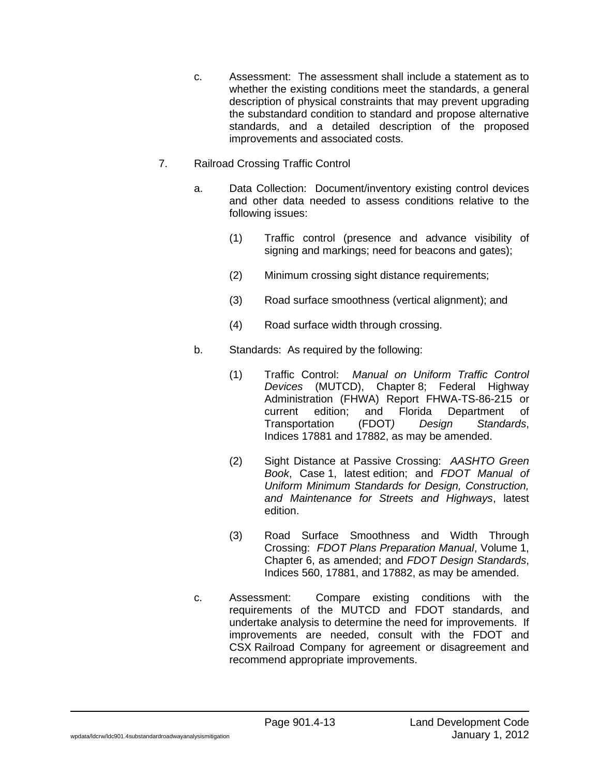- c. Assessment: The assessment shall include a statement as to whether the existing conditions meet the standards, a general description of physical constraints that may prevent upgrading the substandard condition to standard and propose alternative standards, and a detailed description of the proposed improvements and associated costs.
- 7. Railroad Crossing Traffic Control
	- a. Data Collection: Document/inventory existing control devices and other data needed to assess conditions relative to the following issues:
		- (1) Traffic control (presence and advance visibility of signing and markings; need for beacons and gates);
		- (2) Minimum crossing sight distance requirements;
		- (3) Road surface smoothness (vertical alignment); and
		- (4) Road surface width through crossing.
	- b. Standards: As required by the following:
		- (1) Traffic Control: *Manual on Uniform Traffic Control Devices* (MUTCD), Chapter 8; Federal Highway Administration (FHWA) Report FHWA-TS-86-215 or current edition; and Florida Department of Transportation (FDOT*) Design Standards*, Indices 17881 and 17882, as may be amended.
		- (2) Sight Distance at Passive Crossing: *AASHTO Green Book*, Case 1, latest edition; and *FDOT Manual of Uniform Minimum Standards for Design, Construction, and Maintenance for Streets and Highways*, latest edition.
		- (3) Road Surface Smoothness and Width Through Crossing: *FDOT Plans Preparation Manual*, Volume 1, Chapter 6, as amended; and *FDOT Design Standards*, Indices 560, 17881, and 17882, as may be amended.
	- c. Assessment: Compare existing conditions with the requirements of the MUTCD and FDOT standards, and undertake analysis to determine the need for improvements. If improvements are needed, consult with the FDOT and CSX Railroad Company for agreement or disagreement and recommend appropriate improvements.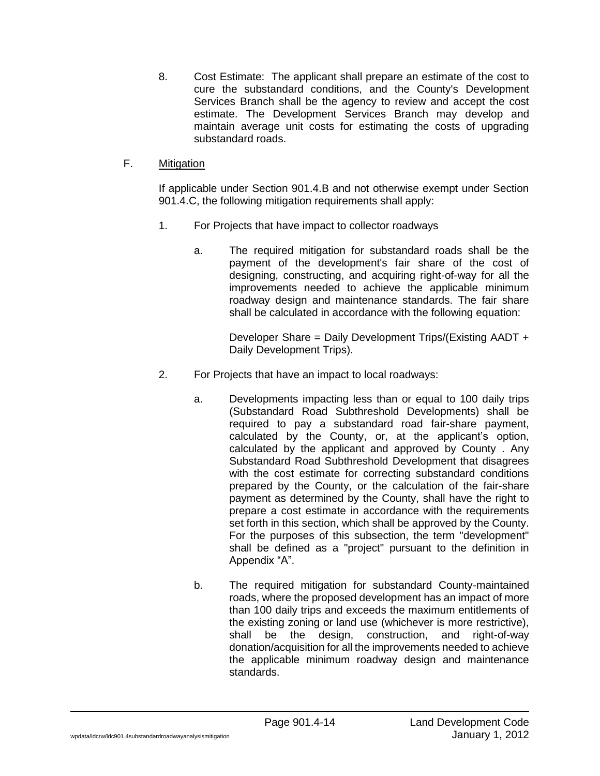8. Cost Estimate: The applicant shall prepare an estimate of the cost to cure the substandard conditions, and the County's Development Services Branch shall be the agency to review and accept the cost estimate. The Development Services Branch may develop and maintain average unit costs for estimating the costs of upgrading substandard roads.

## F. Mitigation

If applicable under Section 901.4.B and not otherwise exempt under Section 901.4.C, the following mitigation requirements shall apply:

- 1. For Projects that have impact to collector roadways
	- a. The required mitigation for substandard roads shall be the payment of the development's fair share of the cost of designing, constructing, and acquiring right-of-way for all the improvements needed to achieve the applicable minimum roadway design and maintenance standards. The fair share shall be calculated in accordance with the following equation:

Developer Share = Daily Development Trips/(Existing AADT + Daily Development Trips).

- 2. For Projects that have an impact to local roadways:
	- a. Developments impacting less than or equal to 100 daily trips (Substandard Road Subthreshold Developments) shall be required to pay a substandard road fair-share payment, calculated by the County, or, at the applicant's option, calculated by the applicant and approved by County . Any Substandard Road Subthreshold Development that disagrees with the cost estimate for correcting substandard conditions prepared by the County, or the calculation of the fair-share payment as determined by the County, shall have the right to prepare a cost estimate in accordance with the requirements set forth in this section, which shall be approved by the County. For the purposes of this subsection, the term "development" shall be defined as a "project" pursuant to the definition in Appendix "A".
	- b. The required mitigation for substandard County-maintained roads, where the proposed development has an impact of more than 100 daily trips and exceeds the maximum entitlements of the existing zoning or land use (whichever is more restrictive), shall be the design, construction, and right-of-way donation/acquisition for all the improvements needed to achieve the applicable minimum roadway design and maintenance standards.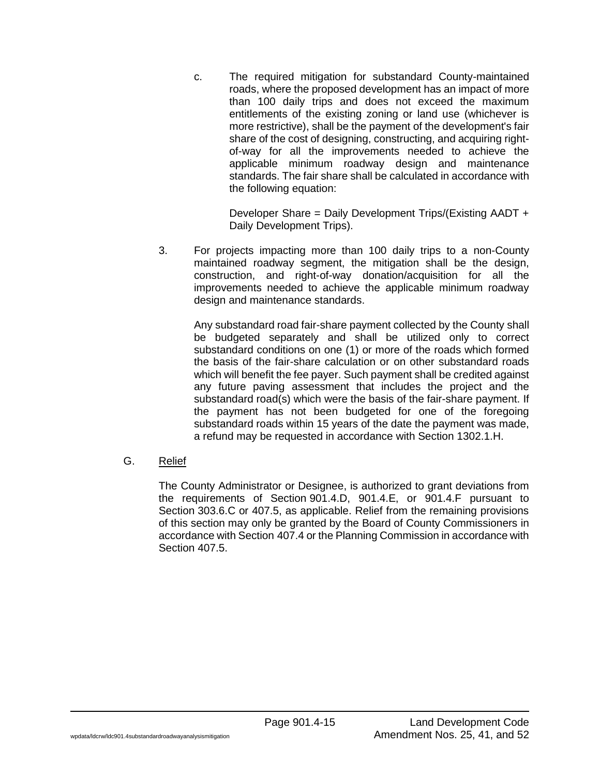c. The required mitigation for substandard County-maintained roads, where the proposed development has an impact of more than 100 daily trips and does not exceed the maximum entitlements of the existing zoning or land use (whichever is more restrictive), shall be the payment of the development's fair share of the cost of designing, constructing, and acquiring rightof-way for all the improvements needed to achieve the applicable minimum roadway design and maintenance standards. The fair share shall be calculated in accordance with the following equation:

Developer Share = Daily Development Trips/(Existing AADT + Daily Development Trips).

3. For projects impacting more than 100 daily trips to a non-County maintained roadway segment, the mitigation shall be the design, construction, and right-of-way donation/acquisition for all the improvements needed to achieve the applicable minimum roadway design and maintenance standards.

Any substandard road fair-share payment collected by the County shall be budgeted separately and shall be utilized only to correct substandard conditions on one (1) or more of the roads which formed the basis of the fair-share calculation or on other substandard roads which will benefit the fee payer. Such payment shall be credited against any future paving assessment that includes the project and the substandard road(s) which were the basis of the fair-share payment. If the payment has not been budgeted for one of the foregoing substandard roads within 15 years of the date the payment was made, a refund may be requested in accordance with Section 1302.1.H.

G. Relief

The County Administrator or Designee, is authorized to grant deviations from the requirements of Section 901.4.D, 901.4.E, or 901.4.F pursuant to Section 303.6.C or 407.5, as applicable. Relief from the remaining provisions of this section may only be granted by the Board of County Commissioners in accordance with Section 407.4 or the Planning Commission in accordance with Section 407.5.